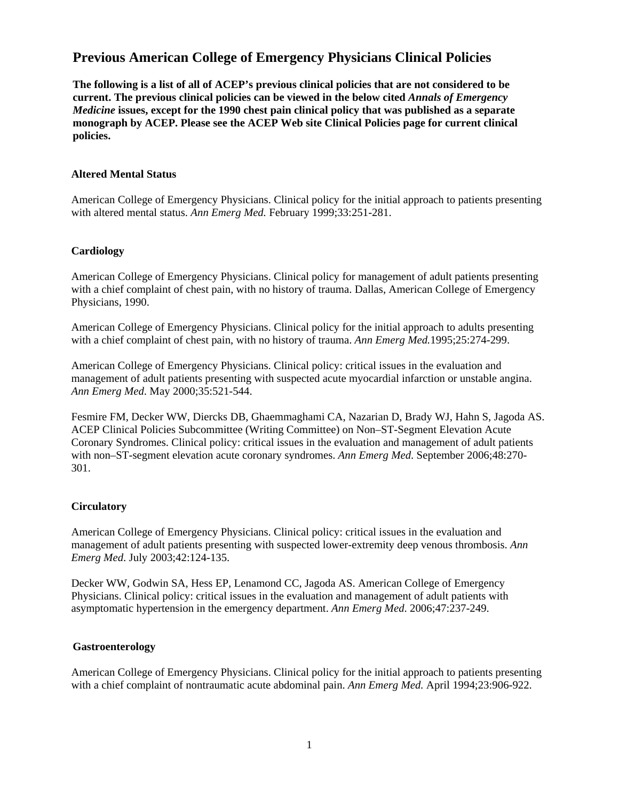# **Previous American College of Emergency Physicians Clinical Policies**

**The following is a list of all of ACEP's previous clinical policies that are not considered to be current. The previous clinical policies can be viewed in the below cited** *Annals of Emergency Medicine* **issues, except for the 1990 chest pain clinical policy that was published as a separate monograph by ACEP. Please see the ACEP Web site Clinical Policies page for current clinical policies.** 

#### **Altered Mental Status**

American College of Emergency Physicians. Clinical policy for the initial approach to patients presenting with altered mental status. *Ann Emerg Med.* February 1999;33:251-281.

#### **Cardiology**

American College of Emergency Physicians. Clinical policy for management of adult patients presenting with a chief complaint of chest pain, with no history of trauma. Dallas, American College of Emergency Physicians, 1990.

American College of Emergency Physicians. Clinical policy for the initial approach to adults presenting with a chief complaint of chest pain, with no history of trauma. *Ann Emerg Med.*1995;25:274-299.

American College of Emergency Physicians. Clinical policy: critical issues in the evaluation and management of adult patients presenting with suspected acute myocardial infarction or unstable angina. *Ann Emerg Med*. May 2000;35:521-544.

Fesmire FM, Decker WW, Diercks DB, Ghaemmaghami CA, Nazarian D, Brady WJ, Hahn S, Jagoda AS. ACEP Clinical Policies Subcommittee (Writing Committee) on Non–ST-Segment Elevation Acute Coronary Syndromes. Clinical policy: critical issues in the evaluation and management of adult patients with non–ST-segment elevation acute coronary syndromes. *Ann Emerg Med*. September 2006;48:270- 301.

### **Circulatory**

American College of Emergency Physicians. Clinical policy: critical issues in the evaluation and management of adult patients presenting with suspected lower-extremity deep venous thrombosis. *Ann Emerg Med*. July 2003;42:124-135.

Decker WW, Godwin SA, Hess EP, Lenamond CC, Jagoda AS. American College of Emergency Physicians. Clinical policy: critical issues in the evaluation and management of adult patients with asymptomatic hypertension in the emergency department. *Ann Emerg Med*. 2006;47:237-249.

#### **Gastroenterology**

American College of Emergency Physicians. Clinical policy for the initial approach to patients presenting with a chief complaint of nontraumatic acute abdominal pain. *Ann Emerg Med.* April 1994;23:906-922.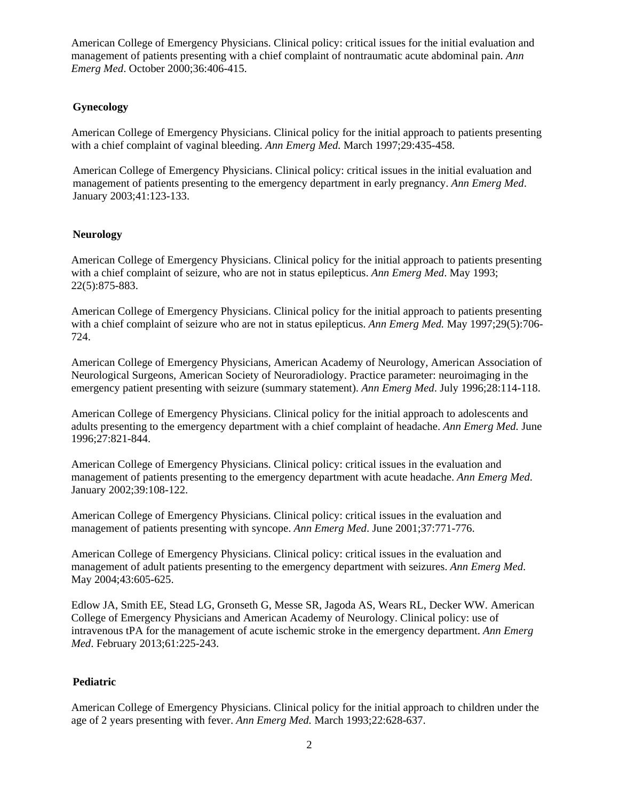American College of Emergency Physicians. Clinical policy: critical issues for the initial evaluation and management of patients presenting with a chief complaint of nontraumatic acute abdominal pain. *Ann Emerg Med*. October 2000;36:406-415.

# **Gynecology**

American College of Emergency Physicians. Clinical policy for the initial approach to patients presenting with a chief complaint of vaginal bleeding. *Ann Emerg Med.* March 1997;29:435-458.

American College of Emergency Physicians. Clinical policy: critical issues in the initial evaluation and management of patients presenting to the emergency department in early pregnancy. *Ann Emerg Med*. January 2003;41:123-133.

### **Neurology**

American College of Emergency Physicians. Clinical policy for the initial approach to patients presenting with a chief complaint of seizure, who are not in status epilepticus. *Ann Emerg Med*. May 1993; 22(5):875-883.

American College of Emergency Physicians. Clinical policy for the initial approach to patients presenting with a chief complaint of seizure who are not in status epilepticus. *Ann Emerg Med.* May 1997;29(5):706- 724.

American College of Emergency Physicians, American Academy of Neurology, American Association of Neurological Surgeons, American Society of Neuroradiology. Practice parameter: neuroimaging in the emergency patient presenting with seizure (summary statement). *Ann Emerg Med*. July 1996;28:114-118.

American College of Emergency Physicians. Clinical policy for the initial approach to adolescents and adults presenting to the emergency department with a chief complaint of headache. *Ann Emerg Med.* June 1996;27:821-844.

American College of Emergency Physicians. Clinical policy: critical issues in the evaluation and management of patients presenting to the emergency department with acute headache. *Ann Emerg Med*. January 2002;39:108-122.

American College of Emergency Physicians. Clinical policy: critical issues in the evaluation and management of patients presenting with syncope. *Ann Emerg Med*. June 2001;37:771-776.

American College of Emergency Physicians. Clinical policy: critical issues in the evaluation and management of adult patients presenting to the emergency department with seizures. *Ann Emerg Med*. May 2004;43:605-625.

Edlow JA, Smith EE, Stead LG, Gronseth G, Messe SR, Jagoda AS, Wears RL, Decker WW. American College of Emergency Physicians and American Academy of Neurology. Clinical policy: use of intravenous tPA for the management of acute ischemic stroke in the emergency department. *Ann Emerg Med*. February 2013;61:225-243.

### **Pediatric**

American College of Emergency Physicians. Clinical policy for the initial approach to children under the age of 2 years presenting with fever. *Ann Emerg Med.* March 1993;22:628-637.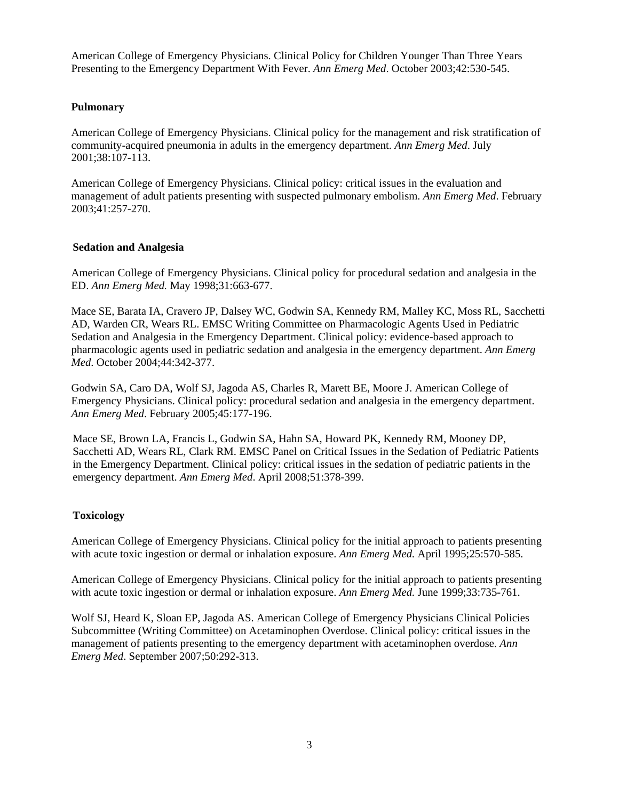American College of Emergency Physicians. Clinical Policy for Children Younger Than Three Years Presenting to the Emergency Department With Fever. *Ann Emerg Med*. October 2003;42:530-545.

# **Pulmonary**

American College of Emergency Physicians. Clinical policy for the management and risk stratification of community-acquired pneumonia in adults in the emergency department. *Ann Emerg Med*. July 2001;38:107-113.

American College of Emergency Physicians. Clinical policy: critical issues in the evaluation and management of adult patients presenting with suspected pulmonary embolism. *Ann Emerg Med*. February 2003;41:257-270.

### **Sedation and Analgesia**

American College of Emergency Physicians. Clinical policy for procedural sedation and analgesia in the ED. *Ann Emerg Med.* May 1998;31:663-677.

Mace SE, Barata IA, Cravero JP, Dalsey WC, Godwin SA, Kennedy RM, Malley KC, Moss RL, Sacchetti AD, Warden CR, Wears RL. EMSC Writing Committee on Pharmacologic Agents Used in Pediatric Sedation and Analgesia in the Emergency Department. Clinical policy: evidence-based approach to pharmacologic agents used in pediatric sedation and analgesia in the emergency department. *Ann Emerg Med*. October 2004;44:342-377.

Godwin SA, Caro DA, Wolf SJ, Jagoda AS, Charles R, Marett BE, Moore J. American College of Emergency Physicians. Clinical policy: procedural sedation and analgesia in the emergency department. *Ann Emerg Med*. February 2005;45:177-196.

Mace SE, Brown LA, Francis L, Godwin SA, Hahn SA, Howard PK, Kennedy RM, Mooney DP, Sacchetti AD, Wears RL, Clark RM. EMSC Panel on Critical Issues in the Sedation of Pediatric Patients in the Emergency Department. Clinical policy: critical issues in the sedation of pediatric patients in the emergency department. *Ann Emerg Med*. April 2008;51:378-399.

### **Toxicology**

American College of Emergency Physicians. Clinical policy for the initial approach to patients presenting with acute toxic ingestion or dermal or inhalation exposure. *Ann Emerg Med.* April 1995;25:570-585.

American College of Emergency Physicians. Clinical policy for the initial approach to patients presenting with acute toxic ingestion or dermal or inhalation exposure. *Ann Emerg Med.* June 1999;33:735-761.

Wolf SJ, Heard K, Sloan EP, Jagoda AS. American College of Emergency Physicians Clinical Policies Subcommittee (Writing Committee) on Acetaminophen Overdose. Clinical policy: critical issues in the management of patients presenting to the emergency department with acetaminophen overdose. *Ann Emerg Med*. September 2007;50:292-313.